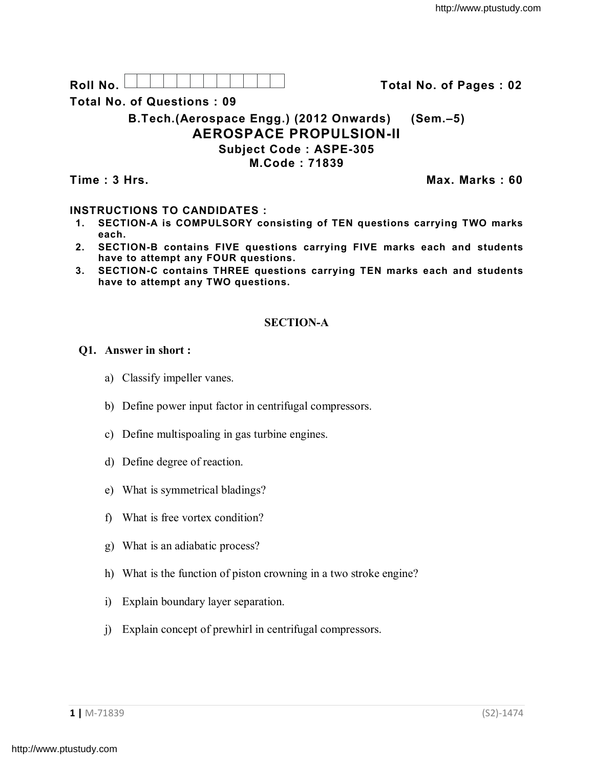Roll No. <u>And I And I Alexander Hermitide Colle</u> College Total No. of Pages : 02

**Total No. of Questions : 09**

**B.Tech.(Aerospace Engg.) (2012 Onwards) (Sem.–5) AEROSPACE PROPULSION-II Subject Code : ASPE-305**

**M.Code : 71839**

**Time : 3 Hrs. Max. Marks : 60**

# **INSTRUCTIONS TO CANDIDATES :**

- **1. SECTION-A is COMPULSORY consisting of TEN questions carrying TWO marks each.**
- **2. SECTION-B contains FIVE questions carrying FIVE marks each and students have to attempt any FOUR questions.**
- **3. SECTION-C contains THREE questions carrying TEN marks each and students have to attempt any TWO questions.**

## **SECTION-A**

### **Q1. Answer in short :**

- a) Classify impeller vanes.
- b) Define power input factor in centrifugal compressors.
- c) Define multispoaling in gas turbine engines.
- d) Define degree of reaction.
- e) What is symmetrical bladings?
- f) What is free vortex condition?
- g) What is an adiabatic process?
- h) What is the function of piston crowning in a two stroke engine?
- i) Explain boundary layer separation.
- j) Explain concept of prewhirl in centrifugal compressors.